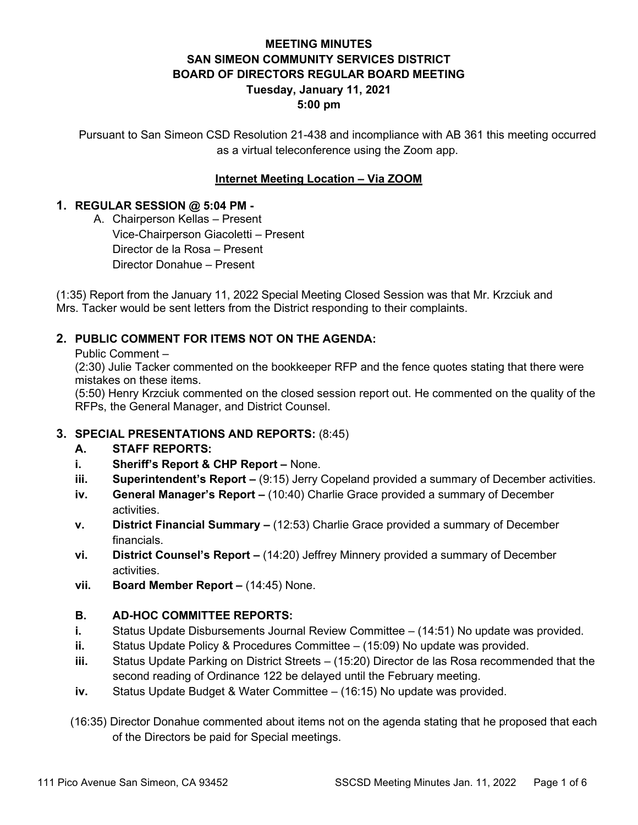# **MEETING MINUTES SAN SIMEON COMMUNITY SERVICES DISTRICT BOARD OF DIRECTORS REGULAR BOARD MEETING Tuesday, January 11, 2021 5:00 pm**

Pursuant to San Simeon CSD Resolution 21-438 and incompliance with AB 361 this meeting occurred as a virtual teleconference using the Zoom app.

# **Internet Meeting Location – Via ZOOM**

## **1. REGULAR SESSION @ 5:04 PM -**

A. Chairperson Kellas – Present Vice-Chairperson Giacoletti – Present Director de la Rosa – Present Director Donahue – Present

(1:35) Report from the January 11, 2022 Special Meeting Closed Session was that Mr. Krzciuk and Mrs. Tacker would be sent letters from the District responding to their complaints.

# **2. PUBLIC COMMENT FOR ITEMS NOT ON THE AGENDA:**

Public Comment –

(2:30) Julie Tacker commented on the bookkeeper RFP and the fence quotes stating that there were mistakes on these items.

(5:50) Henry Krzciuk commented on the closed session report out. He commented on the quality of the RFPs, the General Manager, and District Counsel.

## **3. SPECIAL PRESENTATIONS AND REPORTS:** (8:45)

## **A. STAFF REPORTS:**

- **i. Sheriff's Report & CHP Report –** None.
- **iii. Superintendent's Report –** (9:15) Jerry Copeland provided a summary of December activities.
- **iv. General Manager's Report –** (10:40) Charlie Grace provided a summary of December activities.
- **v. District Financial Summary –** (12:53) Charlie Grace provided a summary of December financials.
- **vi. District Counsel's Report –** (14:20) Jeffrey Minnery provided a summary of December activities.
- **vii. Board Member Report –** (14:45) None.

## **B. AD-HOC COMMITTEE REPORTS:**

- **i.** Status Update Disbursements Journal Review Committee (14:51) No update was provided.
- **ii.** Status Update Policy & Procedures Committee (15:09) No update was provided.
- **iii.** Status Update Parking on District Streets (15:20) Director de las Rosa recommended that the second reading of Ordinance 122 be delayed until the February meeting.
- **iv.** Status Update Budget & Water Committee (16:15) No update was provided.
- (16:35) Director Donahue commented about items not on the agenda stating that he proposed that each of the Directors be paid for Special meetings.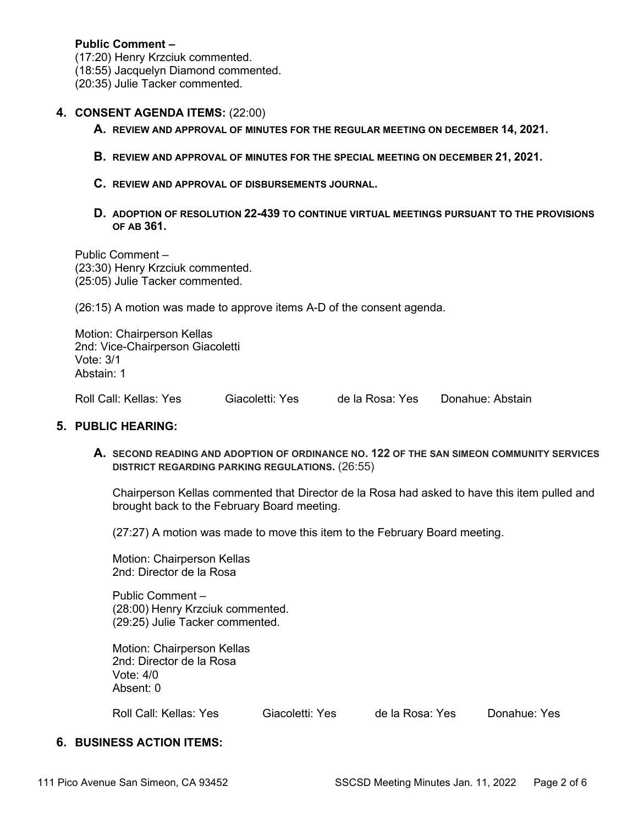### **Public Comment –**

(17:20) Henry Krzciuk commented.

(18:55) Jacquelyn Diamond commented.

(20:35) Julie Tacker commented.

### **4. CONSENT AGENDA ITEMS:** (22:00)

- **A. REVIEW AND APPROVAL OF MINUTES FOR THE REGULAR MEETING ON DECEMBER 14, 2021.**
- **B. REVIEW AND APPROVAL OF MINUTES FOR THE SPECIAL MEETING ON DECEMBER 21, 2021.**
- **C. REVIEW AND APPROVAL OF DISBURSEMENTS JOURNAL.**
- **D. ADOPTION OF RESOLUTION 22-439 TO CONTINUE VIRTUAL MEETINGS PURSUANT TO THE PROVISIONS OF AB 361.**

Public Comment – (23:30) Henry Krzciuk commented. (25:05) Julie Tacker commented.

(26:15) A motion was made to approve items A-D of the consent agenda.

Motion: Chairperson Kellas 2nd: Vice-Chairperson Giacoletti Vote: 3/1 Abstain: 1

Roll Call: Kellas: Yes Giacoletti: Yes de la Rosa: Yes Donahue: Abstain

### **5. PUBLIC HEARING:**

**A. SECOND READING AND ADOPTION OF ORDINANCE NO. 122 OF THE SAN SIMEON COMMUNITY SERVICES DISTRICT REGARDING PARKING REGULATIONS.** (26:55)

Chairperson Kellas commented that Director de la Rosa had asked to have this item pulled and brought back to the February Board meeting.

(27:27) A motion was made to move this item to the February Board meeting.

Motion: Chairperson Kellas 2nd: Director de la Rosa

Public Comment – (28:00) Henry Krzciuk commented. (29:25) Julie Tacker commented.

Motion: Chairperson Kellas 2nd: Director de la Rosa Vote: 4/0 Absent: 0

Roll Call: Kellas: Yes Giacoletti: Yes de la Rosa: Yes Donahue: Yes

# **6. BUSINESS ACTION ITEMS:**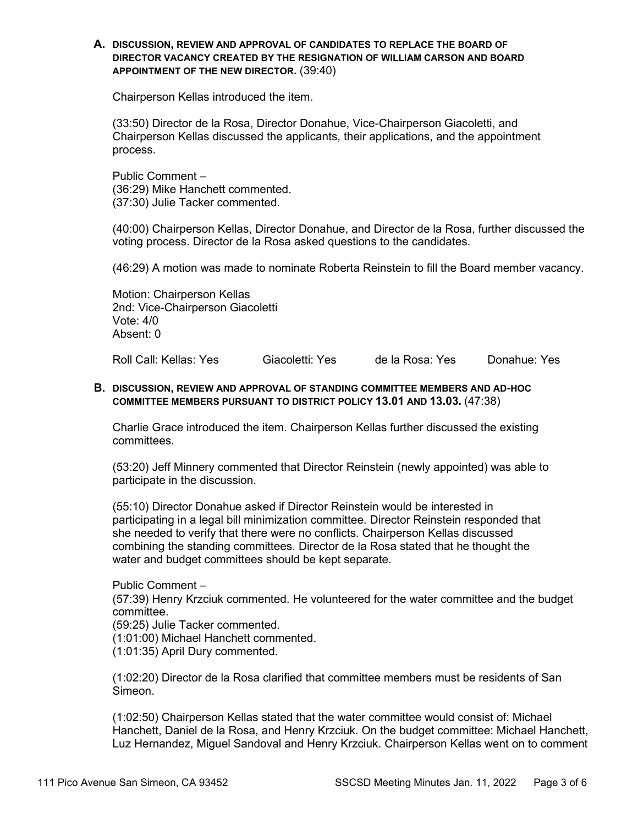#### **A. DISCUSSION, REVIEW AND APPROVAL OF CANDIDATES TO REPLACE THE BOARD OF DIRECTOR VACANCY CREATED BY THE RESIGNATION OF WILLIAM CARSON AND BOARD APPOINTMENT OF THE NEW DIRECTOR.** (39:40)

Chairperson Kellas introduced the item.

(33:50) Director de la Rosa, Director Donahue, Vice-Chairperson Giacoletti, and Chairperson Kellas discussed the applicants, their applications, and the appointment process.

Public Comment – (36:29) Mike Hanchett commented. (37:30) Julie Tacker commented.

(40:00) Chairperson Kellas, Director Donahue, and Director de la Rosa, further discussed the voting process. Director de la Rosa asked questions to the candidates.

(46:29) A motion was made to nominate Roberta Reinstein to fill the Board member vacancy.

Motion: Chairperson Kellas 2nd: Vice-Chairperson Giacoletti Vote: 4/0 Absent: 0

Roll Call: Kellas: Yes Giacoletti: Yes de la Rosa: Yes Donahue: Yes

#### **B. DISCUSSION, REVIEW AND APPROVAL OF STANDING COMMITTEE MEMBERS AND AD-HOC COMMITTEE MEMBERS PURSUANT TO DISTRICT POLICY 13.01 AND 13.03.** (47:38)

Charlie Grace introduced the item. Chairperson Kellas further discussed the existing committees.

(53:20) Jeff Minnery commented that Director Reinstein (newly appointed) was able to participate in the discussion.

(55:10) Director Donahue asked if Director Reinstein would be interested in participating in a legal bill minimization committee. Director Reinstein responded that she needed to verify that there were no conflicts. Chairperson Kellas discussed combining the standing committees. Director de la Rosa stated that he thought the water and budget committees should be kept separate.

Public Comment – (57:39) Henry Krzciuk commented. He volunteered for the water committee and the budget committee. (59:25) Julie Tacker commented. (1:01:00) Michael Hanchett commented.

(1:01:35) April Dury commented.

(1:02:20) Director de la Rosa clarified that committee members must be residents of San Simeon.

(1:02:50) Chairperson Kellas stated that the water committee would consist of: Michael Hanchett, Daniel de la Rosa, and Henry Krzciuk. On the budget committee: Michael Hanchett, Luz Hernandez, Miguel Sandoval and Henry Krzciuk. Chairperson Kellas went on to comment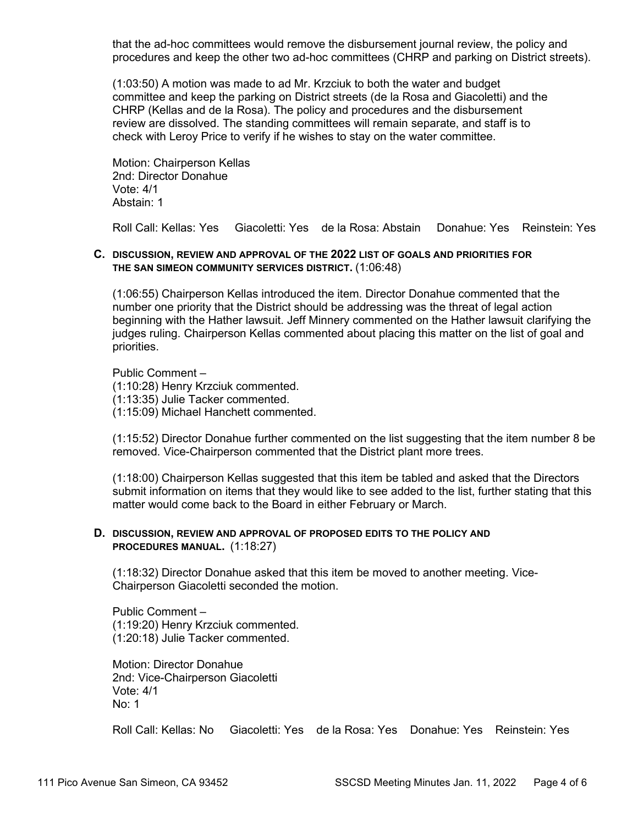that the ad-hoc committees would remove the disbursement journal review, the policy and procedures and keep the other two ad-hoc committees (CHRP and parking on District streets).

(1:03:50) A motion was made to ad Mr. Krzciuk to both the water and budget committee and keep the parking on District streets (de la Rosa and Giacoletti) and the CHRP (Kellas and de la Rosa). The policy and procedures and the disbursement review are dissolved. The standing committees will remain separate, and staff is to check with Leroy Price to verify if he wishes to stay on the water committee.

Motion: Chairperson Kellas 2nd: Director Donahue Vote: 4/1 Abstain: 1

Roll Call: Kellas: Yes Giacoletti: Yes de la Rosa: Abstain Donahue: Yes Reinstein: Yes

### **C. DISCUSSION, REVIEW AND APPROVAL OF THE 2022 LIST OF GOALS AND PRIORITIES FOR THE SAN SIMEON COMMUNITY SERVICES DISTRICT.** (1:06:48)

(1:06:55) Chairperson Kellas introduced the item. Director Donahue commented that the number one priority that the District should be addressing was the threat of legal action beginning with the Hather lawsuit. Jeff Minnery commented on the Hather lawsuit clarifying the judges ruling. Chairperson Kellas commented about placing this matter on the list of goal and priorities.

Public Comment – (1:10:28) Henry Krzciuk commented. (1:13:35) Julie Tacker commented. (1:15:09) Michael Hanchett commented.

(1:15:52) Director Donahue further commented on the list suggesting that the item number 8 be removed. Vice-Chairperson commented that the District plant more trees.

(1:18:00) Chairperson Kellas suggested that this item be tabled and asked that the Directors submit information on items that they would like to see added to the list, further stating that this matter would come back to the Board in either February or March.

#### **D. DISCUSSION, REVIEW AND APPROVAL OF PROPOSED EDITS TO THE POLICY AND PROCEDURES MANUAL.** (1:18:27)

(1:18:32) Director Donahue asked that this item be moved to another meeting. Vice-Chairperson Giacoletti seconded the motion.

Public Comment – (1:19:20) Henry Krzciuk commented. (1:20:18) Julie Tacker commented.

Motion: Director Donahue 2nd: Vice-Chairperson Giacoletti Vote: 4/1 No: 1

Roll Call: Kellas: No Giacoletti: Yes de la Rosa: Yes Donahue: Yes Reinstein: Yes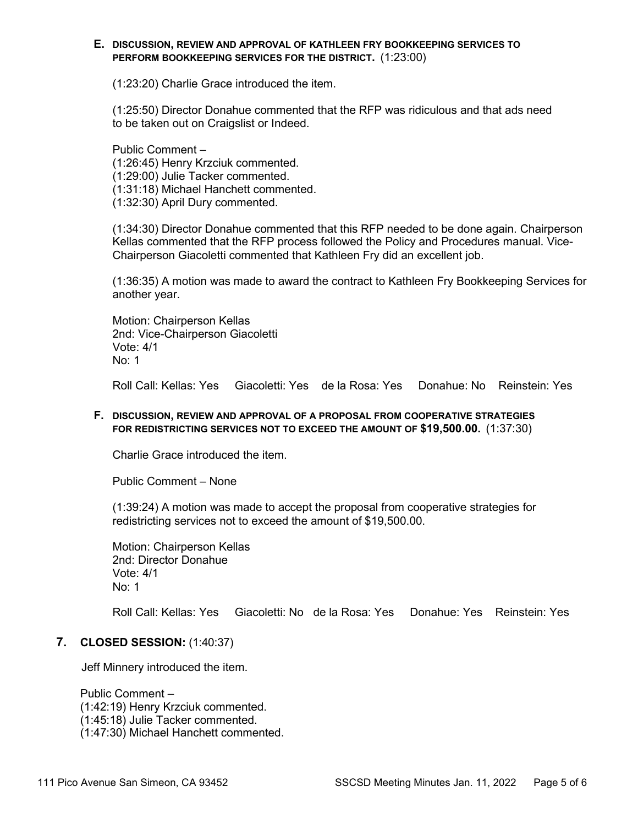#### **E. DISCUSSION, REVIEW AND APPROVAL OF KATHLEEN FRY BOOKKEEPING SERVICES TO PERFORM BOOKKEEPING SERVICES FOR THE DISTRICT.** (1:23:00)

(1:23:20) Charlie Grace introduced the item.

(1:25:50) Director Donahue commented that the RFP was ridiculous and that ads need to be taken out on Craigslist or Indeed.

Public Comment – (1:26:45) Henry Krzciuk commented. (1:29:00) Julie Tacker commented. (1:31:18) Michael Hanchett commented. (1:32:30) April Dury commented.

(1:34:30) Director Donahue commented that this RFP needed to be done again. Chairperson Kellas commented that the RFP process followed the Policy and Procedures manual. Vice-Chairperson Giacoletti commented that Kathleen Fry did an excellent job.

(1:36:35) A motion was made to award the contract to Kathleen Fry Bookkeeping Services for another year.

Motion: Chairperson Kellas 2nd: Vice-Chairperson Giacoletti Vote: 4/1 No: 1

Roll Call: Kellas: Yes Giacoletti: Yes de la Rosa: Yes Donahue: No Reinstein: Yes

#### **F. DISCUSSION, REVIEW AND APPROVAL OF A PROPOSAL FROM COOPERATIVE STRATEGIES FOR REDISTRICTING SERVICES NOT TO EXCEED THE AMOUNT OF \$19,500.00.** (1:37:30)

Charlie Grace introduced the item.

Public Comment – None

(1:39:24) A motion was made to accept the proposal from cooperative strategies for redistricting services not to exceed the amount of \$19,500.00.

Motion: Chairperson Kellas 2nd: Director Donahue Vote: 4/1 No: 1

Roll Call: Kellas: Yes Giacoletti: No de la Rosa: Yes Donahue: Yes Reinstein: Yes

#### **7. CLOSED SESSION:** (1:40:37)

Jeff Minnery introduced the item.

Public Comment – (1:42:19) Henry Krzciuk commented. (1:45:18) Julie Tacker commented. (1:47:30) Michael Hanchett commented.